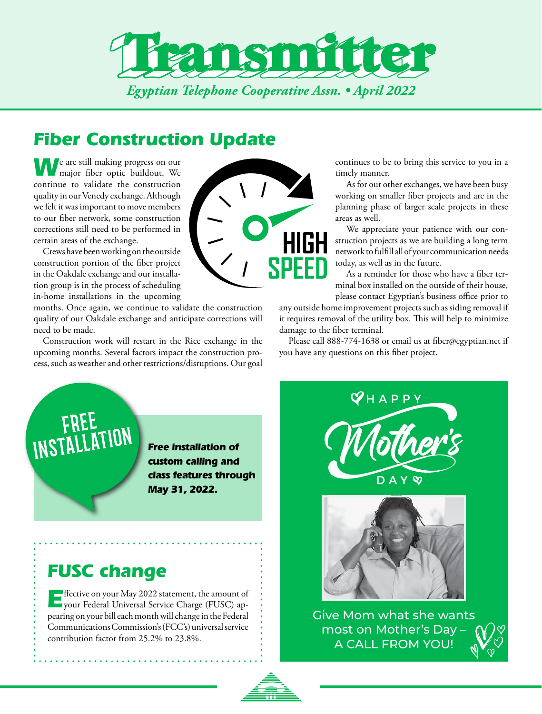

# *Fiber Construction Update*

**We** are still making progress on our major fiber optic buildout. We continue to validate the construction quality in our Venedy exchange. Although we felt it was important to move members to our fiber network, some construction corrections still need to be performed in certain areas of the exchange.

Crews have been working on the outside construction portion of the fiber project in the Oakdale exchange and our installation group is in the process of scheduling in-home installations in the upcoming

months. Once again, we continue to validate the construction quality of our Oakdale exchange and anticipate corrections will need to be made.

Construction work will restart in the Rice exchange in the upcoming months. Several factors impact the construction process, such as weather and other restrictions/disruptions. Our goal



continues to be to bring this service to you in a timely manner.

As for our other exchanges, we have been busy working on smaller fiber projects and are in the planning phase of larger scale projects in these areas as well.

We appreciate your patience with our construction projects as we are building a long term network to fulfill all of your communication needs today, as well as in the future.

As a reminder for those who have a fiber terminal box installed on the outside of their house, please contact Egyptian's business office prior to

any outside home improvement projects such as siding removal if it requires removal of the utility box. This will help to minimize damage to the fiber terminal.

Please call 888-774-1638 or email us at fiber@egyptian.net if you have any questions on this fiber project.

*Free installation of custom calling and class features through May 31, 2022.*

## *FUSC change*

**E**ffective on your May 2022 statement, the amount of your Federal Universal Service Charge (FUSC) appearing on your bill each month will change in the Federal Communications Commission's (FCC's) universal service contribution factor from 25.2% to 23.8%.

 $\bm{\heartsuit}$ НАРР  $\infty$ D A Y



Give Mom what she wants most on Mother's Day – A CALL FROM YOU!